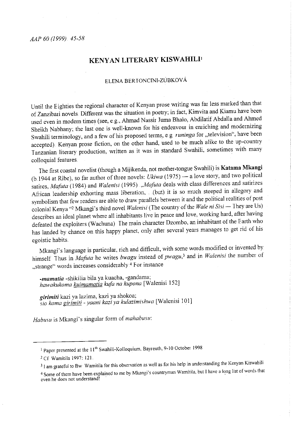# **KENYAN LITERARY KISWAHILI<sup>1</sup>**

## ELENA BERTONCINI-ZUBKOVÁ

Until the Eighties the regional character of Kenyan prose writing was far less marked than that of Zanzibari novels. Different was the situation in poetry; in fact, Kimvita and Kiamu have been used even in modern times (see, e.g., Ahmad Nassir Juma Bhalo, Abdilatif Abdalla and Ahmed Sheikh Nabhany; the last one is well-known for his endeavour in emiching and modernizing Swahili terminology, and a few of his proposed terms, e g *runinga* for "television", have been accepted). Kenyan prose fiction, on the other hand, used to be much alike to the up-country Tanzanian literary production, written as it was in standard Swahili, sometimes with many colloquial features.

The first coastal novelist (though a Mijikenda, not mother-tongue Swahili) is **Katama Mkangi**  (b.1944 at Ribe), so far author of three novels: *Ukiwa* (1975) - a love story, and two political satires, *Mafuta* (1984) and *Walenisi* (1995) "*Mafuta* deals with class differences and satirizes African leadership exhorting mass liberation, (but) it is so much steeped in allegory and symbolism that few readers are able to draw parallels between it and the political realities of post colonial Kenya "<sup>2</sup> Mkangi's third novel *Walenisi* (The country of the *Wale ni Sisi* - They are Us) describes an ideal planet where all inhabitants live in peace and love, working hard, after having defeated the exploiters (Wachuna) The main character Dzombo, an inhabitant of the Earth who has landed by chance on this happy planet, only after several years manages to get rid of his egoistic habits

Mkangi's language is particular, rich and difficult, with some words modified or invented by himself Thus in *Mafuta* he writes *bwagu* instead of *pwagu*,<sup>3</sup> and in *Walenisi* the number of ,strange" words increases considerably <sup>4</sup>For instance

*-mamatia* -shikilia bila ya kuacha, -gandama; *hawakukoma kuimamatia kufa na kupona* [Walenisi !52]

*<sup>g</sup>irimiti* kazi ya lazima, kazi ya shokoa; *sio kama girimiti -yaan<sup>i</sup>kazi ya kulazimishwa* [Walenisi 101]

Habusu is Mkangi's singular form of mahabusu:

<sup>&</sup>lt;sup>1</sup> Paper presented at the 11<sup>th</sup> Swahili-Kolloquium, Bayreuth, 9-10 October 1998

<sup>2</sup> Cf Wamitila 1997: 121

<sup>&</sup>lt;sup>3</sup> I am grateful to Bw Wamitila for this observation as well as for his help in understanding the Kenyan Kiswahili

<sup>&</sup>lt;sup>4</sup> Some of them have been explained to me by Mkangi's countryman Wamitila, but I have a long list of words that **even he does not understand!**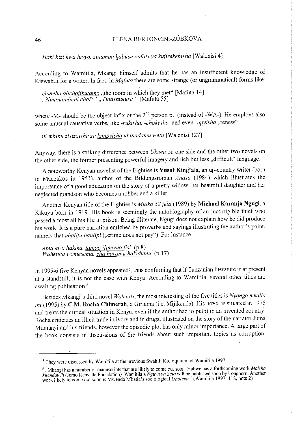# 46 ELENA BERIONCINI-ZÚBKOVÁ

# *Haki hizi kwa hivyo, zinampa habusu nafasi ya kujirekebisha* [Walenisi 4]

According to Wamitila, Mkangi himself admits that he has an insufficient knowledge of Kiswahili for a writer. In fact, in *Mafuta* there are some strange (or ungrammatical) forms like

*chumba alichojikutamo* ,the 10om in which they met" [Mafuta 14] , *Nimnunulieni chai?"* , *Tutashukuru* ' [Mafuta 55]

where -M- should be the object infix of the 2<sup>nd</sup> person pl. (instead of -WA-). He employs also some unusual causative verbs, like *-rukisha, -chokesha,* and even *-upyisha* ,renew"

*ni mbinu zisizoisha za kuupyisha ubinadamu we tu* [Walenisi 127]

Anyway, there is a striking difference between *Ukiwa* on one side and the other two novels on the other side, the former presenting powerful imagery and rich but less "difficult" language.

A noteworthy Kenyan novelist of the Eighties is Yusuf King'ala, an up-country writer (born in Machakos in 1951), author of the Bildungsroman *Anasa* (1984) which illustrates the importance of a good education on the story of a pretty widow, her beautiful daughter and her neglected grandson who becomes a robber and a killer.

Another Kenyan title of the Eighties is *Miaka 52 ;ela* (1989) by **Michael Karanja Ngugi,** <sup>a</sup> Kikuyu born in 1919. His book is seemingly the autobiography of an incorrigible thief who passed almost all his life in prison Being illiterate, Ngugi does not explain how he did produce his work It is a pure narration enriched by proverbs and sayings illustrating the author's point, namely that *uhalifu haulipi* ("crime does not pay") For instance

*Ama kwa hakika, tamaa ilimwua fisi* (p.8) *Wahenga wamesema, cha haramu hakidumu* (p.l7)

In 1995-6 five Kenyan novels appeared<sup>5</sup>, thus confirming that if Tanzanian literature is at present at a standstill, it is not the case with Kenya According to Wamitila, several other titles are awaiting publication <sup>6</sup>

Besides Mkangi's third novel *Walenisi,* the most interesting of the five titles is *Nyongo mkalia ini* (1995) by C.M. Rocha Chimerah, a Giriama (i.e. Mijikenda). His novel is situated in 1975 and treats the critical situation in Kenya, even if the author had to put it in an invented countiy Rocha criticizes an illicit trade in ivory and in drugs, illustrated on the story of the narrator Juma Mumanyi and his friends, however the episodic plot has only minor importance. A large part of the book consists in discussions of the friends about such important topics as corruption,

 $5$  They were discussed by Wamitila at the previous Swahili Kolloquium, cf. Wamitila 1997

<sup>&</sup>lt;sup>6</sup>. Mkangi has a number of manuscripts that are likely to come out soon Habwe has a forthcoming work *Maisha kitendawi!l* (Jomo Kenyatta Foundation): Wamitila's *Nguvu ya Sa/a* will be published soon by Longhorn Another work likely to come out soon is Mwenda Mbatia's sociological *Upotevu* " (Wamitila 1997: 118, note 2)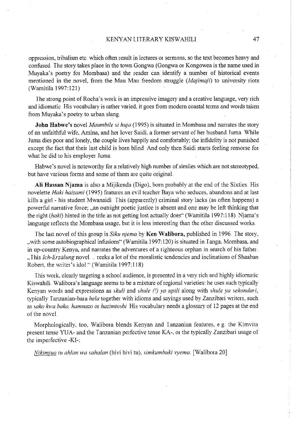oppression, tribalism etc. which often result in lectures or sermons, so the text becomes heavy and confused. The story takes place in the town Gongwa (Gongwa or Kongowea is the name used in Muyaka's poetry for Mombasa) and the reader can identify a number of historical events mentioned in the novel, from the Mau Mau freedom struggle *(Majimaji)* to university riots (Wamitila 1997:121)

The strong point of Rocha's work is an impressive imagery and a creative language, very rich and idiomatic His vocabulary is rather varied, it goes fiom modern coastal terms and words taken from Muyaka's poetry to urban slang.

**John Habwe's** novel *Maumbile si huja* (1995) is situated in Mombasa and narrates the story of an unfaithful wife, Amina, and her lover Saidi, a former servant of her husband Juma While Juma dies poor and lonely, the couple lives happily and comfortably; the infidelity is not punished except the fact that their last child is born blind And only then Saidi starts feeling remorse for what he did to his employer Juma

Habwe's novel is noteworthy for a relatively high number of similes which are not stereotyped, but have various forms and some of them are quite original

Ali Hassan Njama is also a Mijikenda (Digo), born probably at the end of the Sixties. His novelette *Haki haizami* ( 1995) features an evil teacher Baya who seduces, abandons and at last kills a girl - his student Mwanaidi This (apparently) criminal story lacks (as often happens) a powerful narrative force; "an outright poetic justice is absent and one may be left thinking that the right *(haki)* hinted in the title as not getting lost actually does" (Wamitila 1997:118). Njama's language reflects the Mombasa usage, but it is less interesting than the other discussed works.

The last novel of this group is *Siku njema* by **Ken Walibora**, published in 1996. The story, ,.with some autobiographical infusions" (Wamitila 1997: 120) is situated in I anga, Mombasa, and in up-country Kenya, and narrates the adventures of a righteous orphan in search of his father. . This *Ich-Erzälung* novel reeks a lot of the moralistic tendencies and inclinations of Shaaban Robert, the writer's idol." (Wamitila 1997:118)

This work, clearly targeting a school audience, is presented in a very rich and highly idiomatic Kiswahili. Walibora's language seems to be a mixture of regional varieties: he uses such typically Kenyan words and expressions as *skuli* and *shule (') ya upili* along with *shule ya sekondari,*  typically Tanzanian-bara *hela* together with idioms and sayings used by Zanzibari writers, such as *sako* bra *bako. hamnazo* or *hazimtoshi* His vocabulary needs a glossary of 12 pages at the end of the novel.

Morphologically, too, Walibora blends Kenyan and Tanzanian features, e g. the Kimvita present tense YUA- and the Tanzanian perfective tense KA-, or the typically Zanzibari usage of the imperfective -KI-:

*Nikimjua tu ahlan wa sahalan* (hivi hivi tu), *simkumbuki vyema* [Walibora 20]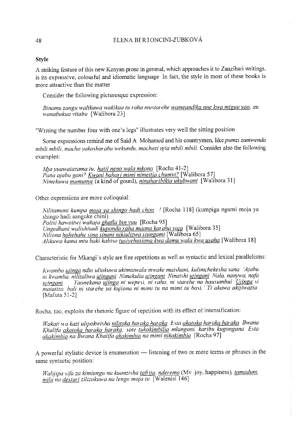#### 48 ELENA BERIONCINI-ZUBKOVÁ

#### **Style**

A striking feature of this new Kenyan prose in general, which approaches it to Zanzibari Wiitings, is its expressive, colourful and idiomatic language In fact, the style in most of these books is more attractive than the matter

Consider the following picturesque expression:

*Binamu zangu walikuwa wakikaa tu raha mustarehe wameandika nne kwa miguu yao, au wanabukua vitabu* [Walibora 23]

"Writing the number four with one's legs" illustrates very well the sitting position.

Some expressions remind me of Said A Mohamed and his countrymen, like *pumzi zamwenda mbili mbili, macho yakasharabu wekundu, machozi njia mbili mbili* Consider also the following examples:

*M;ayuawatazama tu, hatii neno wala mkono.* [Rocha 41-2] *Pana ajabu gani? Kwani bahari mimi nimeitia chumvi?* [Walibora 57] *Nimekuwa mumun}'g\_* (a kind of gourd), *ninaharibikia ukubwani* [Walibora 31]

Other expressions are more colloquial:

*Nilitamani kumpa m01a ya ohingo hadi chini* ' [Rocha 118] (kumpiga ngumi moja ya *shin* **go hadi aanguke chini)**  *Polisi hawaitwi 'wakaja ghafla bin vuu* [Rocha 95] *Ungedhani waliohitadi kuponda raha maana karaha ya1a* [Walibora 35] *Niliona hohehahe sina sinani nikiulizwa siungami*. [Walibora 65] *Alikuwa kama mtu baki kabisa tusiyehmiana kwa damu wala kwa maha* [Walibora 18]

Characteristic for Mkangi's style are free repetitions as well as syntactic and lexical parallelisms:

*Kwamba uzinga ndio uliokuwa ukimtawala mwake maishani, kulimchekesha sana 'A;abu ni kwamba, nilizaliwa ujingani. Nimekulia uiingani. Ninaishi u/ingani Na/a, nanywa, nafa u1ingani Yaonekana ujinga ni wepesi, ni raha, ni starehe na hausumbui Ujinga si matatizo bali ni starehe ya kujiona ni mimi tu na mimi tu basi,* ' *Ti akawa akijiwazia*  [Mafuta 51-2]

Rocha, too, exploits the rhetoric figure of repetition with its effect of intensification:

*Wakati* 1w *kazi uhpoktvisha nilitoka haraka haraka Esta akatoka haraka haraka Bwana Khalifa akatoka haraka haraka, sate tukakimbilia mlangoni, karibu kugongana Esta akakimbia na Bwana Khalifa akakimbia na mimi nikakimbia* [Rocha 97]

A powerful stylistic device is enumeration - listening of two or more terms or phrases in the same syntactic position:

*Walijipa sifa za kimiungu na kuanzisha taffi(a, nderemo* (Mv joy, happiness), *tamaduni, mila na deoturi zilizokuwa na /engo moja tu* [Walenisi 146]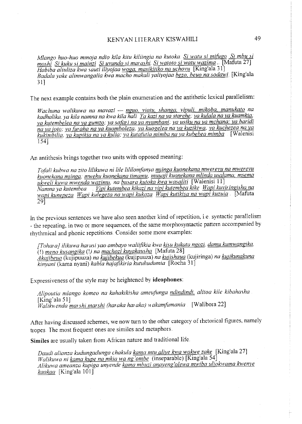#### KENYAN LITERARY KISWAHILI

*Mlango huo-huo mmoja ndio ki/a kitu kiliingia na kutoka.* Si *watu si mi(ugo* Si *mbu si moshi* Si *kuku si mainzi* Si *uvundo si mar as hi.* Si *watoto si watu wazima ...* [Mafuta 27] *Habiba aliuliza kwa sauti iliyojaa woga, masikitiko na uchovu* [King'ala 31] Badala yake alimwangalia kwa macho makali yaliyojaa bezo, beuo na sodawi. [King'ala  $31$ ]

The next example contains both the plain enumeration and the antithetic lexical parallelism:

*Wachuna walikuwa na mavazi* -- *nguo, viatu. shanga. vipuli, mikoba. manukato na kadhalika, ya kila namna na kwa kila hali Ya kazi na va stare he, ya ku/a/a na ya kuamkia, ya kutembelea na ya gumzo, ya sa(ar* <sup>i</sup>*na ya nyumbani, ya usiku na ya mchana; ya baridi na ya joto; ya (uraha na ya kuomboleza, ya kuoge/ea na ya kuzikiwa, ya kuchezea na yg kukimbi/ia, ya kupikia na ya kulia; ya kutatitlia mimba na ya kubebea mimba* [Walenisi 154]

An antithesis brings together two units with opposed meaning:

*Tofali kubwa na zito lilikuwa ni li/e lililomfanya mlinga kuonekana mwerevu na mwerevu*  kuonekana mjinga, *mwehu kuonekana timamu, muuaji kuonekana mlinda usalama, msema ukwe/i kuwa mwenda wazimu, na bwara kutoka hva wasaliti* [Walenisi 11] *Namna ya kutembea Vipi kutembea kikazi na vi pi kutembea kike Wapi kuviringisha na wapi kunepeza Wapi kulegeza na wapi kukaza Wapi kutikisa nd wapi kuzuia* [Mafuta 29]

In the previous sentences we have also seen another kind of repetition, i.e. syntactic parallelism - the repeating, in two or more sequences, of the same morphosyntactic pattern accompanied by rhythmical and phonic repetitions Consider some more examples:

[Tohara] ilikuwa harusi yao ambayo waliifikia kwa <u>kisu kukata ngozi</u>, <u>damu kumwangika</u>, (I) *meno kusangika* (!) *na machozi kuyakawha* [Mafuta 28] *Akajibeua* (kujipuuza) *na kuiibekua* (kujipuuza) *na kulishaua* (kujiringa) *na kurikunakuna kinyani* (kama nyani) *kabla hajafzkiria kutuhudumia* [Rocha 31]

Expressiveness of the style may be heightened by **ideophones:** 

*Alipoutia mlango komeo na kuhakikisha ameufunga ndindindi. a/itoa ki/e kibahasha*  [King'ala 51] *Wa/i/menda mar shi mars hi (haraka haraka)* 11 *akamji1mania* [Walibora 22]

After having discussed schemes, we now turn to the other category of rhetorical figures, namely tropes. The most frequent ones are similes and metaphors.

**Similes** are usually taken from Afiican nature and traditional life

*Daudi alianza kudungadunga chakula kama mtu aliye kwa wakwe zake* [King'ala 27] *Wa/ikuwa ni kama kupe na mkia wa ng'ombe* (inseparable) [King'ala 54] Alikuwa ameanza kupiga unyende kama mbuzi anayeng'olewa mwiba uliokwama kwenye *kaakaa* [King'ala 101]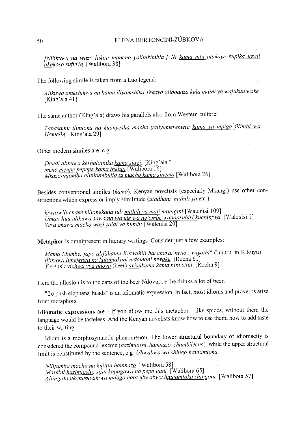# 50 ELENA BERT ONCINI-ZÚBKOVÁ

*[Nilikuwa na wazo lakini maneno yalinikimbia* J *Ni kama mtu atakaye kupika ugali akakosa sutin ia* [Walibora 38]

The following simile is taken fiom a Luo legend:

*Alikuwa ameshihva na hamu iliyomshika Tekayo alipoanza kula maini ya wajukuu wake*  [King'ala **41]** 

The same author (King' ala) draws his parallels also from Westem culture:

*Tabasamu ilimtoka na kuonyesha macho yaliyomeremeta kama ya mpiga fi/imbi wa Hamelin* [King'ala 29]

Other modem similes are, e g

*Daudi a/ikuwa keshalainika kama siagi.* [King'ala 3] *me no meupe pepepe kama theluji* [Walibora 16] *Mkaza-mjomba alinitumbulia tu macho kama sinema* [Walibora 26]

Besides conventional similes *(kama),* Kenyan novelists (especially Mkangi) use other constructions which express 01 imply similitude *(utadhani mithili ya* etc.):

*kiwiliwili chake kilionekana tuli mithili ya maji mtungini* [Walenisi 109] *Umati huu ulikuwa <u>sawa na wa ule wa ng'ombe wanaosubiri kuchinjwa</u> [Walenisi 2] Sa sa akawa macho wazi zaidi ya bundil* [Walenisi 20]

Metaphor is omnipresent in literary writings. Consider just a few examples:

*Mama Mumbe, ;apo alifahamu Kiswahili barabara, neno* , *wiyathi"* ('uhuru' in Kikuyu) *lilikuwa limeienga na kutamakani mdomoni mwake* [Rocha 61] *Yeye pia vichwa vya ndovu* (beer) *avisukuma kama nini sijui* [Rocha 9]

Here the allusion is to the caps of the beer Ndovu, i e he drinks a lot of beer.

"To push elephans' heads" is an idiomatic expression In fact, most idioms and proverbs arise fiom metaphors

**Idiomatic expressions** me - if you allow me this metaphor - like spices, without them the language would be tasteless. And the Kenyan novelists know how to use them, how to add taste to their writing

Idiom is a morphosyntactic phenomenon The lower structural boundary of idiomacity is considered the compound lexeme *(hazimtoshi, hamnazo, chambilecho),* while the upper structural limit is constituted by the sentence, e.g. *Ubwabwa wa shingo haujamtoka*.

*Nilifumba macho na ku;itia hamnazo* [Walibora 58] *Maskini hazimtoshi, sijui kapagav. a na pepo gani* [Walibora 65] *Aliingilia ukahaba akiwa mdogo hata ubwabwa haujamtoka shingoni* [Walibota 57]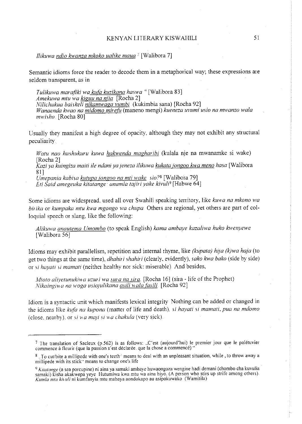#### *llikuwa ndio kwanza mkoko ualike maua;* [Walibora 7]

Semantic idioms force the reader to decode them in a metaphorical way; these expressions are seldom transparent, as in

*Tulikuwa marafiki wa ku(a kuzikana haswa* "[Walibora 83] *Amekuwa mtu wa kiguu na njia* [Rocha 2] *Nilichukua baiskeli nikamwaga vumbi* (kukimbia sana) [Rocha 92] *Wanaenda kwao na midomo mire(u* (maneno mengi) *kueneza uvumi usio na mwanzo wala mwisho* [Rocha 80]

Usually they manifest a high degree of opacity, although they may not exhibit any structural peculiarity

*Watu nao hushukuru kuwa hakwenda magharibi* (kul&la nje na mwanamke si wake) [Rocha 2]

*Kazi ya kuingiza maiti ile ndani ya jeneza ilikuwa kukata jongoo kwa meno hasa* [Walibora] 81]

*Umepania kabisa kutupa jongoo na mti wake sio?*<sup>8</sup> [Walibora 79] *Eti Said amegeuka kitatange- anamla tajiri yake kivuli <sup>9</sup>*[Habwe 64]

Some idioms are widespread, used all over Swahili speaking territory, like *kuwa na mkono wa birika* or *kumpaka mtu kwa mgongo wa chupa* Others are regional, yet others are part of colloquial speech or slang, like the following:

*Alikuwa anautema Umombo* (to speak English) *kama ambaye kazaliwa huko kwenyewe*  [Walibora 56]

Idioms may exhibit parallelism, repetition and intemalrhyme, like *(kupata) hija (k)wa haja* (to get two things at the same time), *dhahiri shahiri* (clearly, evidently), *sako kwa bako* (side by side) or *si hayati si mamati* (neither healthy nor sick: miserable) And besides,

*Mtoto aliyetunukiwa uzuri wa sura na sira.* [Rocha 16] (sira - life of the Prophet) *Nikaingilr ana woga usio;ulikana asili >Ja/a (asili* [Rocha 92]

Idiom is a syntactic unit which manifests lexical integrity Nothing can be added or changed in the idioms like *kufa na kupona* (matter of life and death), *si hayati si mamati, pua na mdomo*  (close, nearby), or *si wa maji si wa chakula* (very sick).

<sup>7</sup>The translation of Sacleux (p.562) is as follows: .,C'est (aujourd'hui) le premier jour que le paletuvier **commence a fleurir (que la passion s'est declaree. que la chose a commence)"** 

<sup>8.</sup> To cut/bite a millipede with one's teeth<sup>\*</sup> means to deal with an unpleasant situation, while, to throw away a **millipede with its stick·· means to change one's life** 

<sup>&</sup>lt;sup>9</sup> Kitatange (a sea porcupine) ni aina ya samaki ambaye huwaongoza wengine hadi demani (chombo cha kuvulia samaki) kisha akakwepa yeye Hutumiwa kwa mtu wa aina hiyo. (A person who stirs up strife among others). *Kumla m tu khuli* **ni kumfanyia mtu mabaya aondokapo au asipokuwako (Wamitila)**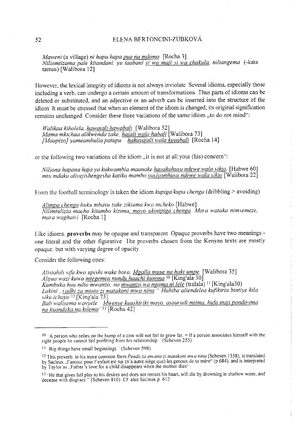#### 52 ELENA BER I ONCINI-ZUBKOVÁ

*Maweni* (a village) *ni hapa hapa pua na mdomo.* [Rocha 3] *Niliomtizama pale kitandani, yu taabani si wa maji si wa chakula, ni/iangema.* ( -kata tamaa) [Walibora 12]

However, the lexical integrity of idioms is not always inviolate Several idioms, especially those including a verb, can undergo a certain amount of transformations. Thus parts of idioms can be deleted or substituted, and an adjective or an adverb can be inserted into the structure of the idiom. It must be stressed that when an element of the idiom is changed, its original signification remains unchanged. Consider these three variations of the same idiom "to do not mind":

*Walikaa kiholela, hawaiali hawabali* [Walibora 52] *Mama mkichaa alikwenda zake, hajali wala habali* [Walibora 73] *[Maapizo] yameambulia patupu hakuvaja/i wala kuyaba/i* [Rocha 14]

or the following two variations of the idiom "it is not at all your (his) concern":

*Ni/iona hapana hafaya kubvambia maanake hayakuhusu ndewe wala sikio.* [Habwe 60] *mtu mdaku aliyejishengesha katika mambo yasiyomhusu ndewe wala sikio* [Walibora 22]

From the football terminology is taken the idiom *kupiga/kupa chenga* (dribbling > avoiding)

*Alimpa chenga huku mbavu zake zikiuma kwa mcheko* [Habwe] *Nilimtulizia macho kitambo kizima, moyo ukinipiga chenga Mara wataka nimsemeze, mar a traghair i* **[Rocha** *1]* 

Like idioms. **proverbs** may be opaque and transparent Opaque proverbs have two meanings one literal and the other figurative The proverbs chosen fiom the Kenyan texts are mostly opaque, but with varying degree of opacity.

Consider the following ones:

Alistahili sifa kwa upishi wake bora. Mgalla muue na haki umpe. [Walibora 35] *Alijua wazi kuwa mtegemea nundu haachi kunona* <sup>10</sup>[King'ala 30] *Kumbuka huu ndio mwanzo, na mwanzo wa ngoma ni lele* (tralala) <sup>11</sup>[King'ala30) *Lakini .. radhi za mtoto zi matakoni mwa nina* " *Habiba aliendelea kufikiria bintiye kila siku ichayo* 12 [King'ala 75] *Bait walisema* H *avyele Mwenye kuushir iki moyo, a.sow udi mtima. hu(a mali pondo-ima na kuondoka na kilema'* 13 [Rocha 42]

<sup>&</sup>lt;sup>10</sup> A person who relies on the hump of a cow will not fail to grow fat. = If a person associates himself with the right people he cannot fail profiting from his relationship  $(5$ cheven 255)

<sup>!</sup> I **·Big things have small beginnings (Scheven 598)** 

<sup>&</sup>lt;sup>12</sup> This proverb, in his more common form *Pendo za mwana zi matakoni mwa nina* (Scheven 1558), is translated by Sacleux ,l'amour pour l'enfant est sur (n'a autre siege que) les genoux de sa mere" (p.684), and is interpreted by Taylor as . Father's love for a child disappears when the mother dies".

<sup>13 &</sup>lt;sup>13</sup> He that gives full play to his desires and does not retrain his heart, will die by drowning in shallow water, and decease with disgrace." (Scheven 810) Cf also Sacleux p 612.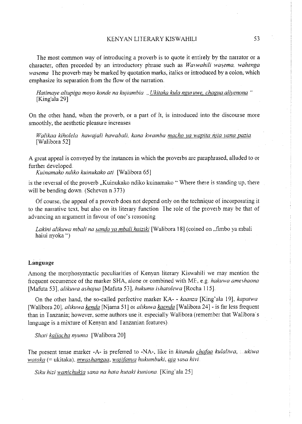The most common way of introducing a proverb is to quote it entirely by the narrator or a character, often preceded by an introductory phrase such as *Waswahili wasema, wahenga wasema* The proverb may be marked by quotation marks, italics or introduced by a colon, which emphasize its separation from the flow of the narration.

*Hatimaye aliupiga moyo konde na !ayiambia* , *Ukitaka kula nguruwe, chagua aliyenona* " [King' ala 29]

On the other hand, when the proverb, or a part of it, is introduced into the discourse more smoothly, the aesthetic pleasure increases

*Walikaa kiholela hawa;ali hawabali, kana kwamba macho ya wapita i11ia yana pazia*  [Walibora 52]

A great appeal is conveyed by the instances in which the proverbs are paraphrased, alluded to or further developed

*Kuinamako ndiko kuinukako ati.* [Walibora 65]

is the reversal of the proverb ,Kuinukako ndiko kuinamako '" Where there is standing up, there will be bending down (Scheven n.373)

Of course, the appeal of a proverb does not depend only on the technique of incorporating it to the narrative text, but also on its literary function. The role of the proverb may be that of **advancing an argument in favour of one's reasoning** 

Lakini alikuwa mbali na sanda ya mbali haiziki [Walibora 18] (coined on "fimbo ya mbali haiui nyoka '')

## **Language**

Among the morphosyntactic peculiarities of Kenyan literary Kiswahili we may mention the fiequent occurrence of the marker SHA, alone or combined with ME, e.g *hakuwa ameshaona*  [Mafuta 53]., *alikuwa asha;ua* [Mafuta 53], *hukumu ishatolewa* [Rocha 115].

On the other hand, the so-called perfective marker KA- - *kaanza* [King' ala 19], *kapatwa*  [Walibora 20], *alikuwa kenda* [Njama 51] or *alikuwa kaenda* [Walibora 24]- is far less frequent than in Tanzania; however, some authors use it, especially Walibora (remember that Walibora's language is a mixture of Kenyan and Tanzanian features).

*Shati kaliacha nyuma* [Walibora 20]

The present tense marker -A- is preferred to -NA~, like in *kitanda cha(aa kulaliwa,* .. *. ukiwa wataka* (= ukitaka), *mwashangaa, wajifanyg hukumbuki, <u>aj</u>a sasa hivi.* 

Siku hizi wanichukia sana na hata hutaki kuniona. [King'ala 25]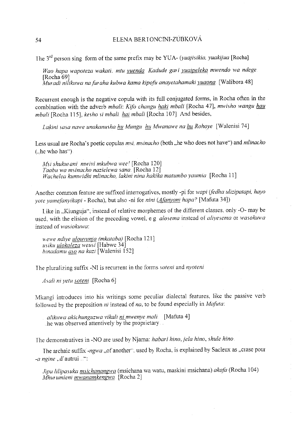#### 54 ELENA BERTONCINI-ZUBKOVÁ

The 3rd person sing form of the same prefix may be YUA- *(yuajisikia, yuakijua* [Rocha]

*Wao hapa wapoteza wakati, mtu yuenda Kadude gar* <sup>i</sup>*yuaipe/eka mwendo wa ndege*  [Rocha 69] *Muradi ni!ikuwa na furaha kubwa kama kipofu anayetahamaki yuaona* [Walibora 48]

Recurrent enough is the negative copula with its full conjugated forms, in Rocha often in the combination with the adverb *mbali: Kifo changu haki mbali* [Rocha 47], *mwisho wangu hau mbali* [Rocha 115], *kesho si mbali hai mbali* [Rocha I 07] And besides,

*Lakini sa sa nawe unakanusha hu Mungu hu Mwanawe na hu Rohoye* [Walenisi 74]

Less usual are Rocha's poetic copulas *msi, msinacho* (both "he who does not have") and *mlinacho*  $($ <sub>u</sub>he who has").

*Msi shukurani mwivi mkubwa weel* [Rocha 120] *Taabu wa msinacho nazielewa sana.* [Rocha 12] *Wachelea kumwidhi mlinacho, /akini nina hakika matumbo yaumia* [Rocha 11]

Another common feature are suffixed interrogatives, mostly -pi for *wapi (fedha ulizipatapi, hayo yote yamefanyikapi-* Rocha), but also -ni for *nini (dfanyani hapa?* [Mafuta 34])

Like in "Kiunguja", instead of relative morphemes of the different classes, only -O- may be **used., with the elision of the preceding vowel, e.g** *alosema* **instead of** *aliyesema* **Oi** *wasokznva*  instead of *wasiokuwa*:

<sup>H</sup>*ewe ndiye ulouvunza (mkataba)* [Rocha 121] *usiku ulokoleza weusi* [Habwe 34] *binadamu aso na kazi* [Walenisi 152]

The pluralizing suffix -NI is recurrent in the forms *soteni* and *nyotenz* 

*Asali ni yetu soteni*. [Rocha 6]

Mkangi introduces into his writings some peculiar dialectal features, like the passive verb followed by the preposition *ni* instead of *na.* to be found especially in *Mafuta:* 

*alikuwa akichunguzwa vika/i ni mwenye mali* [Mafuta 4] he was observed attentively by the proprietary

The demonstratives in -NO are used by Njama: *habari hino, jela hino, shule hino*.

The archaic suffix *-ngwa* , of another", used by Rocha, is explained by Sacleux as , crase pour -*a ngine* ...d'autrui ...

*Jipu lilipasuka msichanangwa* (msichana wa watu, maskini msichana) *akafa* (Rocha 104) *Mhurumieni mwanamkengwa* [Rocha 2]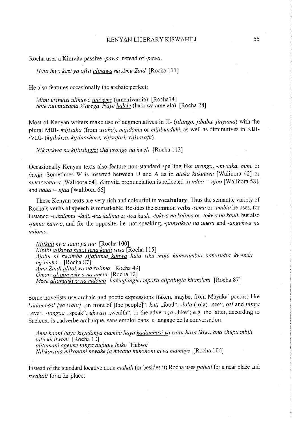Rocha uses a Kimvita passive *-pawa* instead of *-pewa.* 

*Hata hiyo kazi ya ofisi alipawa na Amu Zaid* [Rocha 111]

He also features occasionally the archaic perfect:

*Mimi usingizi ulikuwa univeme* (umenivamia) [Rochal4] *Sate tulimtazama Warega. Naye halele* (hakuwa amelala). [Rocha 28]

Most of Kenyan writers make use of augmentatives in JI- *(Jilango, jibaba. finyama)* with the <sup>p</sup>lural Mlll- *mijisaha* (from *usaha), mijidamu* or *mijibunduki,* as well as diminutives in Klll-IVIJI- *(kijilikizo, kijibiashare, vi;isafari, vi;iwraji1)* 

*Nikatekwa na ki!iusingizi cha urongo na kweli* [Rocha 113]

Occasionally Kenyan texts also feature non-standard spelling like *urongo. -mwaika, mme* or *bengi* Sometimes W is inserted between U and A as in *ataka kukuuwa* [Walibora 42] or *amenyakuwa* [Walibora 64] Kimvita pronunciation is reflected in *ndoo* = *njoo* [Walibora 58].. and *ndaa* = *n1aa* [Walibora 66]

These Kenyan texts are very rich and colourful in **vocabulary**. Thus the semantic variety of Rocha · s **verbs of speech** is remarkable. Besides the common verbs *-sema* or *-ambia* he uses, for instance. *-!akalamu -kuli, -toa kalima* or *-toa kauli, -tokwa na kalima* or *-tokwa na kauli..* but also *-funua kanwa,* and for the opposite, i e not speaking, *-ponyokwa na uneni* and *-angukwa na mdomo.* 

*Nilikuli kwa sauti ya ;uu* [Rocha I 00] *Kibibi alikuwa hatoi tena kauli saw* [Rocha 115] *A;abu ni kwamba sijafunua kamva hata siku moja kumwambia nakusudia kwenda ng ambo* . [Rocha 87] *A mu Zaidi alitokwa na kalima* [Rocha 49] *Omar i aliponvokwa na uneni* [Rocha 12] *Mzee aliangukwa na mdomo hakuufungua mpaka a/ipoingia kitandani* [Rocha 87]

Some novelists use archaic and poetic expressions (taken, maybe, fiom Muyaka' poems) like *kadamnasi [ya watu]* ...in front of [the people]" ... *kuti* ,.food", *-lola* (-ola) ,,see", *ozi* and *ninga* ..eye", *-tongoa* ... speak", ukwasi ,,wealth", or the adverb *ja* ,,like"; e.g. the latter, according to Sacleux, is , adverbe archaique, sans emploi dans le langage de la conversation.

*Amu haoni haya kuyafanya mambo haya kadamnasi <u>ya watu</u> hasa ikiwa ana chupa mbili tatu kichwani.* [Rocha 10] *alitamani ageuke ninga aufuate huko* [Habwe] *Nilikaribia mikononi mwake ja mwana mikononi mwa mamaye* [Rocha 106]

Instead ofthe standard locative noun *mahali* (or besides it) Rocha uses *pahali* for a near place and *kwahali* for a far place: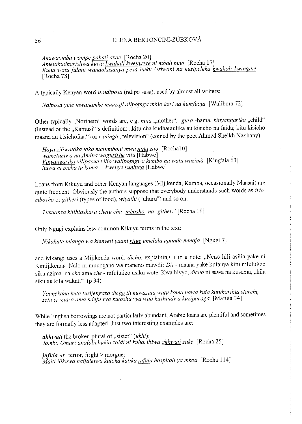### 56 ELENA BER IONCINI-ZUBKOVÁ

*Akawaomba wampe pahali akae.* [Rocha 20]

*Ametahadharishwa kuwa kwahali kwenyewe ni mbali mno* [Rocha 17] Kuna watu fulani wanaokusanya pesa huku Uziwani na kuzipeleka kwahali kwingine [Rocha 78]

A typically Kenyan word is *ndiposa* (ndipo sasa), used by almost all writers:

*Ndiposa yule mwanamke muuzaji alipopiga mbio kasi na kumfuata* [Walibma 72]

Other typically "Northern" words are, e.g. nina "mother", *-gura* -hama, *kinyangarika* "child" (instead of the ,Kamusi'"s definition: ,kitu cha kudharaulika au kisicho na faida; kitu kisicho maana au kisichofaa.") or *runinga* "television" (coined by the poet Ahmed Sheikh Nabhany).

*Haya ziliwatoka toka matumboni mwa nina zao.* [Rocha!O] *wametumwa na Amina wagurishe vitu* [Habwe] *Vinvangarika vilipasua vilio walipopigwa kumbo na watu wazima* [King'ala 63] *huwa ni picha tu kama kwenye runinga* [Habwe]

Loans from Kikuyu and other Kenyan languages (Mijikenda, Kamba, occasionally Maasai) are quite frequent. Obviously the authors suppose that everybody understands such words as *irio mbosho* or *githeri* (types of food), *wiyathi* ("uhuru") and so on

*Tukaanza kijibiashara chetu cha <i>mbosho na githeri'* [Rocha 19]

Only Ngugi explains less common Kikuyu terms in the text:

*Nikakuta m/ango wa kienye;i yaani riige ume/ala upande mmoja* [Ngugi 7]

and Mkangi uses a Mijikenda word, *dicho,* explaining it in a note: ,Neno hili asilia yake ni Kimijikenda Nalo ni muungano wa maneno mawili: *Dii* - maana yake kufanya kitu mfululizo siku nzima. na *cho* ama *che* - mfululizo usiku wote Kwa hivyo, *dicho* ni sawa na kusema, "kila siku au kila wakati" (p 34)

*Yaonekana kuta tuziiengazo dicho* ili *kuwazuia watu kama hawa kuja kutuharibia starehe*  zetu si imara ama ndefu vya kutosha vya wao kushindwa kuziparaga [Mafuta 34]

While English borrowings are not particularly abundant, Arabic loans are plentiful and sometimes they are formally less adapted. Just two interesting examples are:

*akflwati* the broken plural of ,sister'· *(ukht): Jambo Omari analolichukia zaidi ni kuharibiwa akhwati zake* [Rocha 25]

 $jufula Ar$  terror, fright > morgue; *Maiti ilikuwa haijaletwa kutoka katika lllfu/a hospitali ya mkoa* [Rocha 114]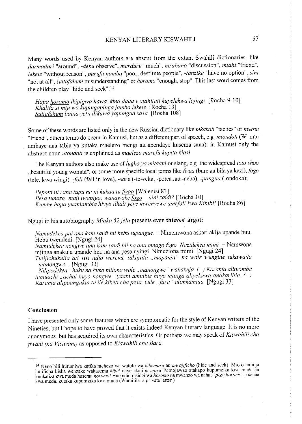Many words used by Kenyan authors are absent fiom the extant Swahili dictionaries, like *darmadari* "around", *-deku* observe", *marduru* "much", *mrahano* "discussion", *mtahi* "friend", *lekele* "without reason", *purufu namba* "poor, destitute people", *-tanzika* "have no option", *sini*  "not at all", *suitafahum* misunderstanding" or *horomo* "enough, stop". This last word comes from the children play "hide and seek".<sup>14</sup>

*Hapa horomo ikipigwa hawa, kina dada* H *atahitaji kupelekwa /ojingi* [Rocha 9-1 0] *Khalifa si mtu wa kupingapinga )ambo lekele* [Rocha 13] *Suitafahum baina ye tu ilikuwa yapungua sa sa* [Rocha I 08]

Some of these words are listed only in the new Russian dictionary like *mkakati* "tactics" or *msena*  "friend", others terms do occur in Kamusi, but as a different part of speech, e.g *mtondoti* (W mtu ambaye ana tabia ya kutaka maelezo mengi au apendaye kusema sana): in Kamusi only the abstract noun *utondoti* is explained as *maelezo marefu kupita kia.si* 

The Kenyan authors also make use of *lugha ya mitaani* or slang, e g the widespread *toto shoo* ,beautiful young woman", or some more specific local terms like *fit•aa* (bure au bila ya kazi), *fogo*  (tele, kwa wingi). *-foli* (fall in love), *-sare* (-toweka, -potea. au -acha), *-pangua* (-ondoka);

*Peponi ni raha tupu na ni kukaa tufiyaa* [Walenisi 83] *Pesa tunazo maji twapiga, wanawake <i>fogo nini zaidi?* [Rocha 10] Kumbe hapa yuaniambia hivyo ilhali yeye mwenyewe <u>amefoli</u> kwa Kibibi! [Rocha 86]

Ngugi in his autobiography *Miaka 52 ;ela* presents even **thieves' argot:** 

*Namudekea pai ana kam saidi hii hebu tupangue.* = Nimemwona askari akija upande huu Hebu twendeni . [Ngugi 24]

*Namudekea nongwe ana kam saidi hii na ana mnago fogo Nazidekea mimi* = Namwona mjinga anakuja upande huu na ana pesa nyingi Nimeziona mimi [Ngugi 24]

*Tulijichukulia ali* si *si ndio werevu, tuka;ilta* , *mapan;a" na wale wengine tukawaita manongwe* [Ngugi 33]

*Nilipodekea 'huku na huko niliona wale, manongwe wanakuja ( ) Karanja a/ituomba tumuachi*, *achai huyo nongwe yaani amuibie huyo mjinga aliyekuwa anakar ibia ( ) Karanja alipoangukia tu ile kibeti cha pesa yule fare/ alimkamata* [Ngugi 33]

#### **Conclusion**

I have presented only some features which are symptomatic for the style of Kenyan writers of the Nineties, but I hope to have proved that it exists indeed Kenyan literary language It is no more anonymous. but has acquired its own characteristics. Or perhaps we may speak of Kiswahili cha *pwani (na Visiwani)* as opposed to *Kiswahili cha Bara* 

<sup>1•</sup> Neno hili hutumiwa katika mchezo wa watoto wa *kibemasa* au *nmajificho* (hide and seek) Mtoto mmoja **hujificha kisha wenzake wakasema** *kibe'* **naye akajibu** *masa* **Mmojawao atakapo kupurnzika kwa muda au kuukatiza kwa muda husema** *horomo'* **Huu ndio msingi wa** *horomo* **na mwanzo wa nahau** *-piga hotomo-* **kuacha**  kwa muda. kutaka kupumzika kwa muda (Wamitila. a private letter)